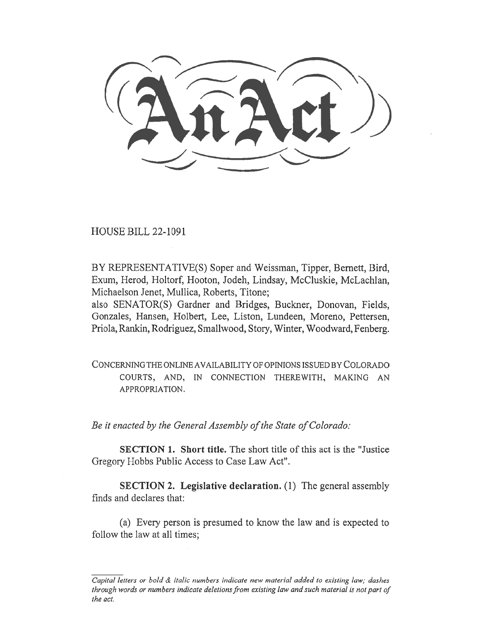HOUSE BILL 22-1091

BY REPRESENTATIVE(S) Soper and Weissman, Tipper, Bernett, Bird, Exum, Herod, Holtorf, Hooton, Jodeh, Lindsay, McCluskie, McLachlan, Michaelson Jenet, Mullica, Roberts, Titone;

also SENATOR(S) Gardner and Bridges, Buckner, Donovan, Fields, Gonzales, Hansen, Holbert, Lee, Liston, Lundeen, Moreno, Pettersen, Priola, Rankin, Rodriguez, Smallwood, Story, Winter, Woodward, Fenberg.

CONCERNING THE ONLINE AVAILABILITY OF OPINIONS ISSUED BY COLORADO COURTS, AND, IN CONNECTION THEREWITH, MAKING AN APPROPRIATION.

Be it enacted by the General Assembly of the State of Colorado:

SECTION 1. Short title. The short title of this act is the "Justice Gregory Hobbs Public Access to Case Law Act".

SECTION 2. Legislative declaration. (1) The general assembly finds and declares that:

(a) Every person is presumed to know the law and is expected to follow the law at all times;

Capital letters or bold & italic numbers indicate new material added to existing law; dashes through words or numbers indicate deletions from existing law and such material is not part of the act.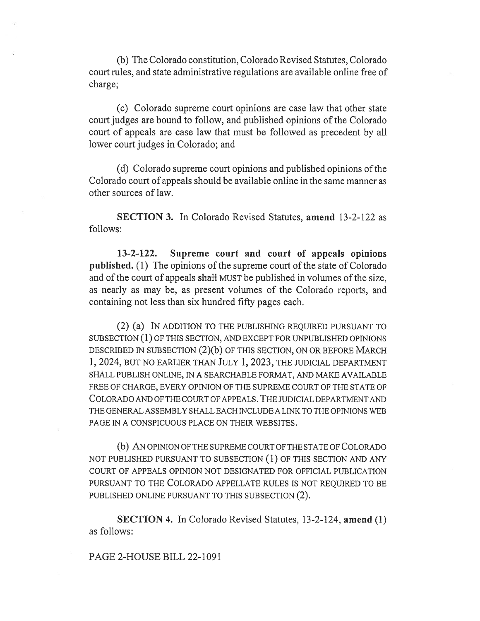(b) The Colorado constitution, Colorado Revised Statutes, Colorado court rules, and state administrative regulations are available online free of charge;

(c) Colorado supreme court opinions are case law that other state court judges are bound to follow, and published opinions of the Colorado court of appeals are case law that must be followed as precedent by all lower court judges in Colorado; and

(d) Colorado supreme court opinions and published opinions of the Colorado court of appeals should be available online in the same manner as other sources of law.

SECTION 3. In Colorado Revised Statutes, amend 13-2-122 as follows:

13-2-122. Supreme court and court of appeals opinions published. (1) The opinions of the supreme court of the state of Colorado and of the court of appeals shall MUST be published in volumes of the size, as nearly as may be, as present volumes of the Colorado reports, and containing not less than six hundred fifty pages each.

(2) (a) IN ADDITION TO THE PUBLISHING REQUIRED PURSUANT TO SUBSECTION (1) OF THIS SECTION, AND EXCEPT FOR UNPUBLISHED OPINIONS DESCRIBED IN SUBSECTION (2)(b) OF THIS SECTION, ON OR BEFORE MARCH 1, 2024, BUT NO EARLIER THAN JULY 1, 2023, THE JUDICIAL DEPARTMENT SHALL PUBLISH ONLINE, IN A SEARCHABLE FORMAT, AND MAKE AVAILABLE FREE OF CHARGE, EVERY OPINION OF THE SUPREME COURT OF THE STATE OF COLORADO AND OF THE COURT OF APPEALS. THE JUDICIAL DEPARTMENT AND THE GENERAL ASSEMBLY SHALL EACH INCLUDE A LINK TO THE OPINIONS WEB PAGE IN A CONSPICUOUS PLACE ON THEIR WEBSITES.

(b) AN OPINION OF THE SUPREME COURT OF THE STATE OF COLORADO NOT PUBLISHED PURSUANT TO SUBSECTION (1) OF THIS SECTION AND ANY COURT OF APPEALS OPINION NOT DESIGNATED FOR OFFICIAL PUBLICATION PURSUANT TO THE COLORADO APPELLATE RULES IS NOT REQUIRED TO BE PUBLISHED ONLINE PURSUANT TO THIS SUBSECTION (2).

SECTION 4. In Colorado Revised Statutes, 13-2-124, amend (1) as follows:

PAGE 2-HOUSE BILL 22-1091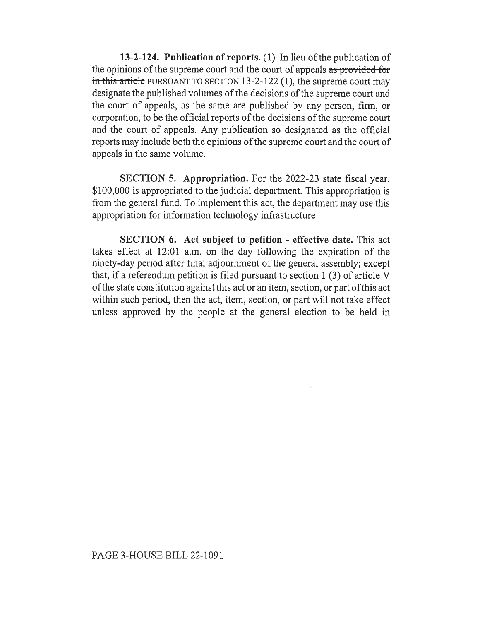13-2-124. Publication of reports. (1) In lieu of the publication of the opinions of the supreme court and the court of appeals as provided for in this article PURSUANT TO SECTION 13-2-122 (1), the supreme court may designate the published volumes of the decisions of the supreme court and the court of appeals, as the same are published by any person, firm, or corporation, to be the official reports of the decisions of the supreme court and the court of appeals. Any publication so designated as the official reports may include both the opinions of the supreme court and the court of appeals in the same volume.

SECTION 5. Appropriation. For the 2022-23 state fiscal year, \$100,000 is appropriated to the judicial department. This appropriation is from the general fund. To implement this act, the department may use this appropriation for information technology infrastructure.

SECTION 6. Act subject to petition - effective date. This act takes effect at 12:01 a.m. on the day following the expiration of the ninety-day period after final adjournment of the general assembly; except that, if a referendum petition is filed pursuant to section 1 (3) of article V of the state constitution against this act or an item, section, or part of this act within such period, then the act, item, section, or part will not take effect unless approved by the people at the general election to be held in